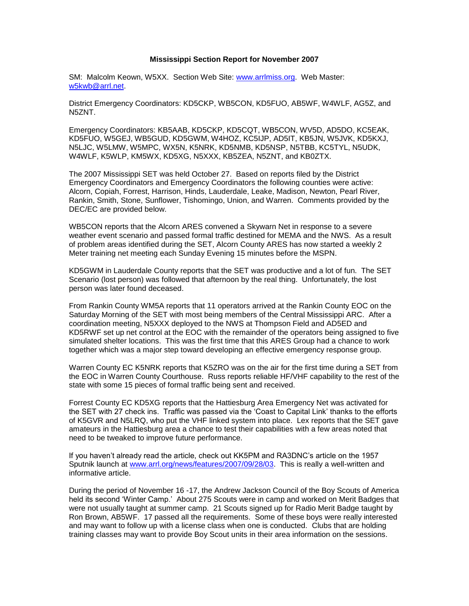## **Mississippi Section Report for November 2007**

SM: Malcolm Keown, W5XX. Section Web Site: [www.arrlmiss.org.](http://www.arrlmiss.org/) Web Master: [w5kwb@arrl.net.](mailto:w5kwb@arrl.net)

District Emergency Coordinators: KD5CKP, WB5CON, KD5FUO, AB5WF, W4WLF, AG5Z, and N5ZNT.

Emergency Coordinators: KB5AAB, KD5CKP, KD5CQT, WB5CON, WV5D, AD5DO, KC5EAK, KD5FUO, W5GEJ, WB5GUD, KD5GWM, W4HOZ, KC5IJP, AD5IT, KB5JN, W5JVK, KD5KXJ, N5LJC, W5LMW, W5MPC, WX5N, K5NRK, KD5NMB, KD5NSP, N5TBB, KC5TYL, N5UDK, W4WLF, K5WLP, KM5WX, KD5XG, N5XXX, KB5ZEA, N5ZNT, and KB0ZTX.

The 2007 Mississippi SET was held October 27. Based on reports filed by the District Emergency Coordinators and Emergency Coordinators the following counties were active: Alcorn, Copiah, Forrest, Harrison, Hinds, Lauderdale, Leake, Madison, Newton, Pearl River, Rankin, Smith, Stone, Sunflower, Tishomingo, Union, and Warren. Comments provided by the DEC/EC are provided below.

WB5CON reports that the Alcorn ARES convened a Skywarn Net in response to a severe weather event scenario and passed formal traffic destined for MEMA and the NWS. As a result of problem areas identified during the SET, Alcorn County ARES has now started a weekly 2 Meter training net meeting each Sunday Evening 15 minutes before the MSPN.

KD5GWM in Lauderdale County reports that the SET was productive and a lot of fun. The SET Scenario (lost person) was followed that afternoon by the real thing. Unfortunately, the lost person was later found deceased.

From Rankin County WM5A reports that 11 operators arrived at the Rankin County EOC on the Saturday Morning of the SET with most being members of the Central Mississippi ARC. After a coordination meeting, N5XXX deployed to the NWS at Thompson Field and AD5ED and KD5RWF set up net control at the EOC with the remainder of the operators being assigned to five simulated shelter locations. This was the first time that this ARES Group had a chance to work together which was a major step toward developing an effective emergency response group.

Warren County EC K5NRK reports that K5ZRO was on the air for the first time during a SET from the EOC in Warren County Courthouse. Russ reports reliable HF/VHF capability to the rest of the state with some 15 pieces of formal traffic being sent and received.

Forrest County EC KD5XG reports that the Hattiesburg Area Emergency Net was activated for the SET with 27 check ins. Traffic was passed via the 'Coast to Capital Link' thanks to the efforts of K5GVR and N5LRQ, who put the VHF linked system into place. Lex reports that the SET gave amateurs in the Hattiesburg area a chance to test their capabilities with a few areas noted that need to be tweaked to improve future performance.

If you haven't already read the article, check out KK5PM and RA3DNC's article on the 1957 Sputnik launch at [www.arrl.org/news/features/2007/09/28/03.](http://www.arrl.org/news/features/2007/09/28/03) This is really a well-written and informative article.

During the period of November 16 -17, the Andrew Jackson Council of the Boy Scouts of America held its second 'Winter Camp.' About 275 Scouts were in camp and worked on Merit Badges that were not usually taught at summer camp. 21 Scouts signed up for Radio Merit Badge taught by Ron Brown, AB5WF. 17 passed all the requirements. Some of these boys were really interested and may want to follow up with a license class when one is conducted. Clubs that are holding training classes may want to provide Boy Scout units in their area information on the sessions.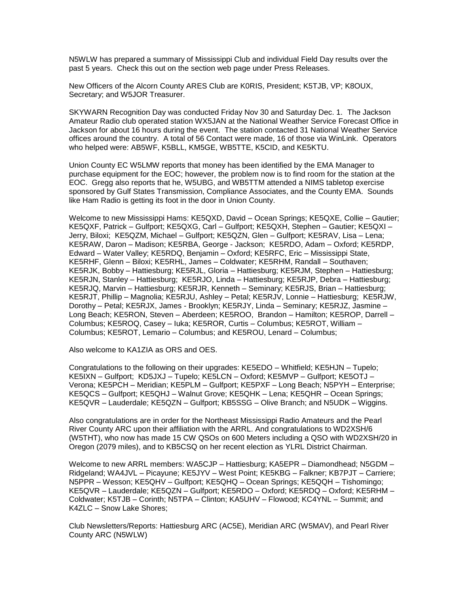N5WLW has prepared a summary of Mississippi Club and individual Field Day results over the past 5 years. Check this out on the section web page under Press Releases.

New Officers of the Alcorn County ARES Club are K0RIS, President; K5TJB, VP; K8OUX, Secretary; and W5JOR Treasurer.

SKYWARN Recognition Day was conducted Friday Nov 30 and Saturday Dec. 1. The Jackson Amateur Radio club operated station WX5JAN at the National Weather Service Forecast Office in Jackson for about 16 hours during the event. The station contacted 31 National Weather Service offices around the country. A total of 56 Contact were made, 16 of those via WinLink. Operators who helped were: AB5WF, K5BLL, KM5GE, WB5TTE, K5CID, and KE5KTU.

Union County EC W5LMW reports that money has been identified by the EMA Manager to purchase equipment for the EOC; however, the problem now is to find room for the station at the EOC. Gregg also reports that he, W5UBG, and WB5TTM attended a NIMS tabletop exercise sponsored by Gulf States Transmission, Compliance Associates, and the County EMA. Sounds like Ham Radio is getting its foot in the door in Union County.

Welcome to new Mississippi Hams: KE5QXD, David – Ocean Springs; KE5QXE, Collie – Gautier; KE5QXF, Patrick – Gulfport; KE5QXG, Carl – Gulfport; KE5QXH, Stephen – Gautier; KE5QXI – Jerry, Biloxi; KE5QZM, Michael – Gulfport; KE5QZN, Glen – Gulfport; KE5RAV, Lisa – Lena; KE5RAW, Daron – Madison; KE5RBA, George - Jackson; KE5RDO, Adam – Oxford; KE5RDP, Edward – Water Valley; KE5RDQ, Benjamin – Oxford; KE5RFC, Eric – Mississippi State, KE5RHF, Glenn – Biloxi; KE5RHL, James – Coldwater; KE5RHM, Randall – Southaven; KE5RJK, Bobby – Hattiesburg; KE5RJL, Gloria – Hattiesburg; KE5RJM, Stephen – Hattiesburg; KE5RJN, Stanley – Hattiesburg; KE5RJO, Linda – Hattiesburg; KE5RJP, Debra – Hattiesburg; KE5RJQ, Marvin – Hattiesburg; KE5RJR, Kenneth – Seminary; KE5RJS, Brian – Hattiesburg; KE5RJT, Phillip – Magnolia; KE5RJU, Ashley – Petal; KE5RJV, Lonnie – Hattiesburg; KE5RJW, Dorothy – Petal; KE5RJX, James - Brooklyn; KE5RJY, Linda – Seminary; KE5RJZ, Jasmine – Long Beach; KE5RON, Steven – Aberdeen; KE5ROO, Brandon – Hamilton; KE5ROP, Darrell – Columbus; KE5ROQ, Casey – Iuka; KE5ROR, Curtis – Columbus; KE5ROT, William – Columbus; KE5ROT, Lemario – Columbus; and KE5ROU, Lenard – Columbus;

Also welcome to KA1ZIA as ORS and OES.

Congratulations to the following on their upgrades: KE5EDO – Whitfield; KE5HJN – Tupelo; KE5IXN – Gulfport; KD5JXJ – Tupelo; KE5LCN – Oxford; KE5MVP – Gulfport; KE5OTJ – Verona; KE5PCH – Meridian; KE5PLM – Gulfport; KE5PXF – Long Beach; N5PYH – Enterprise; KE5QCS – Gulfport; KE5QHJ – Walnut Grove; KE5QHK – Lena; KE5QHR – Ocean Springs; KE5QVR – Lauderdale; KE5QZN – Gulfport; KB5SSG – Olive Branch; and N5UDK – Wiggins.

Also congratulations are in order for the Northeast Mississippi Radio Amateurs and the Pearl River County ARC upon their affiliation with the ARRL. And congratulations to WD2XSH/6 (W5THT), who now has made 15 CW QSOs on 600 Meters including a QSO with WD2XSH/20 in Oregon (2079 miles), and to KB5CSQ on her recent election as YLRL District Chairman.

Welcome to new ARRL members: WA5CJP – Hattiesburg; KA5EPR – Diamondhead; N5GDM – Ridgeland; WA4JVL – Picayune; KE5JYV – West Point; KE5KBG – Falkner; KB7PJT – Carriere; N5PPR – Wesson; KE5QHV – Gulfport; KE5QHQ – Ocean Springs; KE5QQH – Tishomingo; KE5QVR – Lauderdale; KE5QZN – Gulfport; KE5RDO – Oxford; KE5RDQ – Oxford; KE5RHM – Coldwater; K5TJB – Corinth; N5TPA – Clinton; KA5UHV – Flowood; KC4YNL – Summit; and K4ZLC – Snow Lake Shores;

Club Newsletters/Reports: Hattiesburg ARC (AC5E), Meridian ARC (W5MAV), and Pearl River County ARC (N5WLW)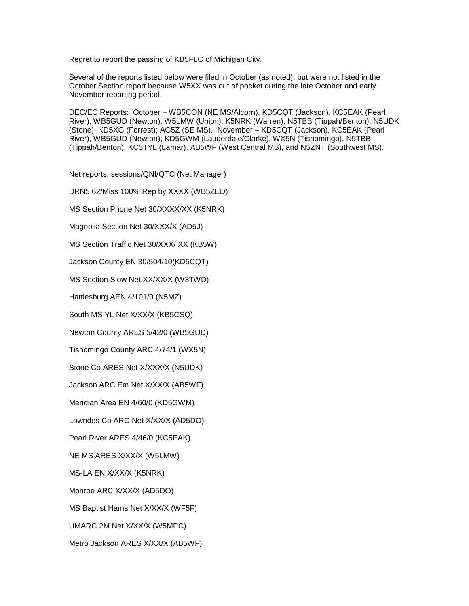Regret to report the passing of KB5FLC of Michigan City.

Several of the reports listed below were filed in October (as noted), but were not listed in the October Section report because W5XX was out of pocket during the late October and early November reporting period.

DEC/EC Reports: October – WB5CON (NE MS/Alcorn), KD5CQT (Jackson), KC5EAK (Pearl River), WB5GUD (Newton), W5LMW (Union), K5NRK (Warren), N5TBB (Tippah/Benton); N5UDK (Stone), KD5XG (Forrest); AG5Z (SE MS). November – KD5CQT (Jackson), KC5EAK (Pearl River), WB5GUD (Newton), KD5GWM (Lauderdale/Clarke), WX5N (Tishomingo), N5TBB (Tippah/Benton), KC5TYL (Lamar), AB5WF (West Central MS), and N5ZNT (Southwest MS).

Net reports: sessions/QNI/QTC (Net Manager)

DRN5 62/Miss 100% Rep by XXXX (WB5ZED)

MS Section Phone Net 30/XXXX/XX (K5NRK)

Magnolia Section Net 30/XXX/X (AD5J)

MS Section Traffic Net 30/XXX/ XX (KB5W)

Jackson County EN 30/504/10(KD5CQT)

MS Section Slow Net XX/XX/X (W3TWD)

Hattiesburg AEN 4/101/0 (N5MZ)

South MS YL Net X/XX/X (KB5CSQ)

Newton County ARES 5/42/0 (WB5GUD)

Tishomingo County ARC 4/74/1 (WX5N)

Stone Co ARES Net X/XXX/X (N5UDK)

Jackson ARC Em Net X/XX/X (AB5WF)

Meridian Area EN 4/60/0 (KD5GWM)

Lowndes Co ARC Net X/XX/X (AD5DO)

Pearl River ARES 4/46/0 (KC5EAK)

NE MS ARES X/XX/X (W5LMW)

MS-LA EN X/XX/X (K5NRK)

Monroe ARC X/XX/X (AD5DO)

MS Baptist Hams Net X/XX/X (WF5F)

UMARC 2M Net X/XX/X (W5MPC)

Metro Jackson ARES X/XX/X (AB5WF)